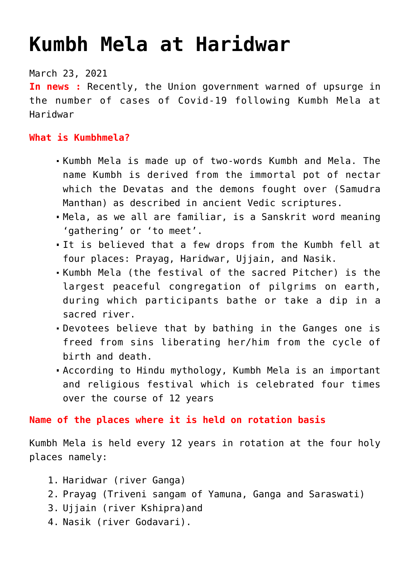# **[Kumbh Mela at Haridwar](https://journalsofindia.com/kumbh-mela-at-haridwar/)**

## March 23, 2021

**In news :** Recently, the Union government warned of upsurge in the number of cases of Covid-19 following Kumbh Mela at Haridwar

## **What is Kumbhmela?**

- Kumbh Mela is made up of two-words Kumbh and Mela. The name Kumbh is derived from the immortal pot of nectar which the Devatas and the demons fought over (Samudra Manthan) as described in ancient Vedic scriptures.
- Mela, as we all are familiar, is a Sanskrit word meaning 'gathering' or 'to meet'.
- It is believed that a few drops from the Kumbh fell at four places: Prayag, Haridwar, Ujjain, and Nasik.
- Kumbh Mela (the festival of the sacred Pitcher) is the largest peaceful congregation of pilgrims on earth, during which participants bathe or take a dip in a sacred river.
- Devotees believe that by bathing in the Ganges one is freed from sins liberating her/him from the cycle of birth and death.
- According to Hindu mythology, Kumbh Mela is an important and religious festival which is celebrated four times over the course of 12 years

# **Name of the places where it is held on rotation basis**

Kumbh Mela is held every 12 years in rotation at the four holy places namely:

- 1. Haridwar (river Ganga)
- 2. Prayag (Triveni sangam of Yamuna, Ganga and Saraswati)
- 3. Ujjain (river Kshipra) and
- 4. Nasik (river Godavari).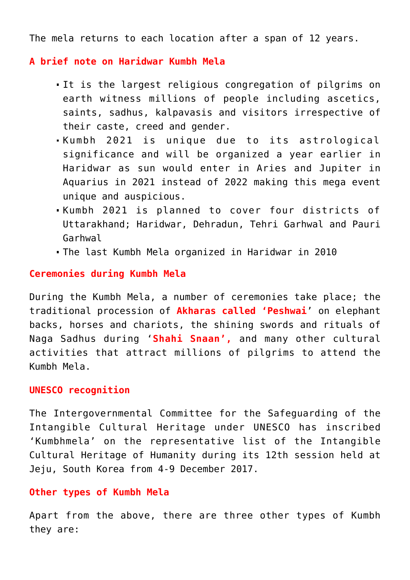The mela returns to each location after a span of 12 years.

### **A brief note on Haridwar Kumbh Mela**

- It is the largest religious congregation of pilgrims on earth witness millions of people including ascetics, saints, sadhus, kalpavasis and visitors irrespective of their caste, creed and gender.
- Kumbh 2021 is unique due to its astrological significance and will be organized a year earlier in Haridwar as sun would enter in Aries and Jupiter in Aquarius in 2021 instead of 2022 making this mega event unique and auspicious.
- Kumbh 2021 is planned to cover four districts of Uttarakhand; Haridwar, Dehradun, Tehri Garhwal and Pauri Garhwal
- The last Kumbh Mela organized in Haridwar in 2010

#### **Ceremonies during Kumbh Mela**

During the Kumbh Mela, a number of ceremonies take place; the traditional procession of **Akharas called 'Peshwai**' on elephant backs, horses and chariots, the shining swords and rituals of Naga Sadhus during '**Shahi Snaan',** and many other cultural activities that attract millions of pilgrims to attend the Kumbh Mela.

#### **UNESCO recognition**

The Intergovernmental Committee for the Safeguarding of the Intangible Cultural Heritage under UNESCO has inscribed 'Kumbhmela' on the representative list of the Intangible Cultural Heritage of Humanity during its 12th session held at Jeju, South Korea from 4-9 December 2017.

#### **Other types of Kumbh Mela**

Apart from the above, there are three other types of Kumbh they are: